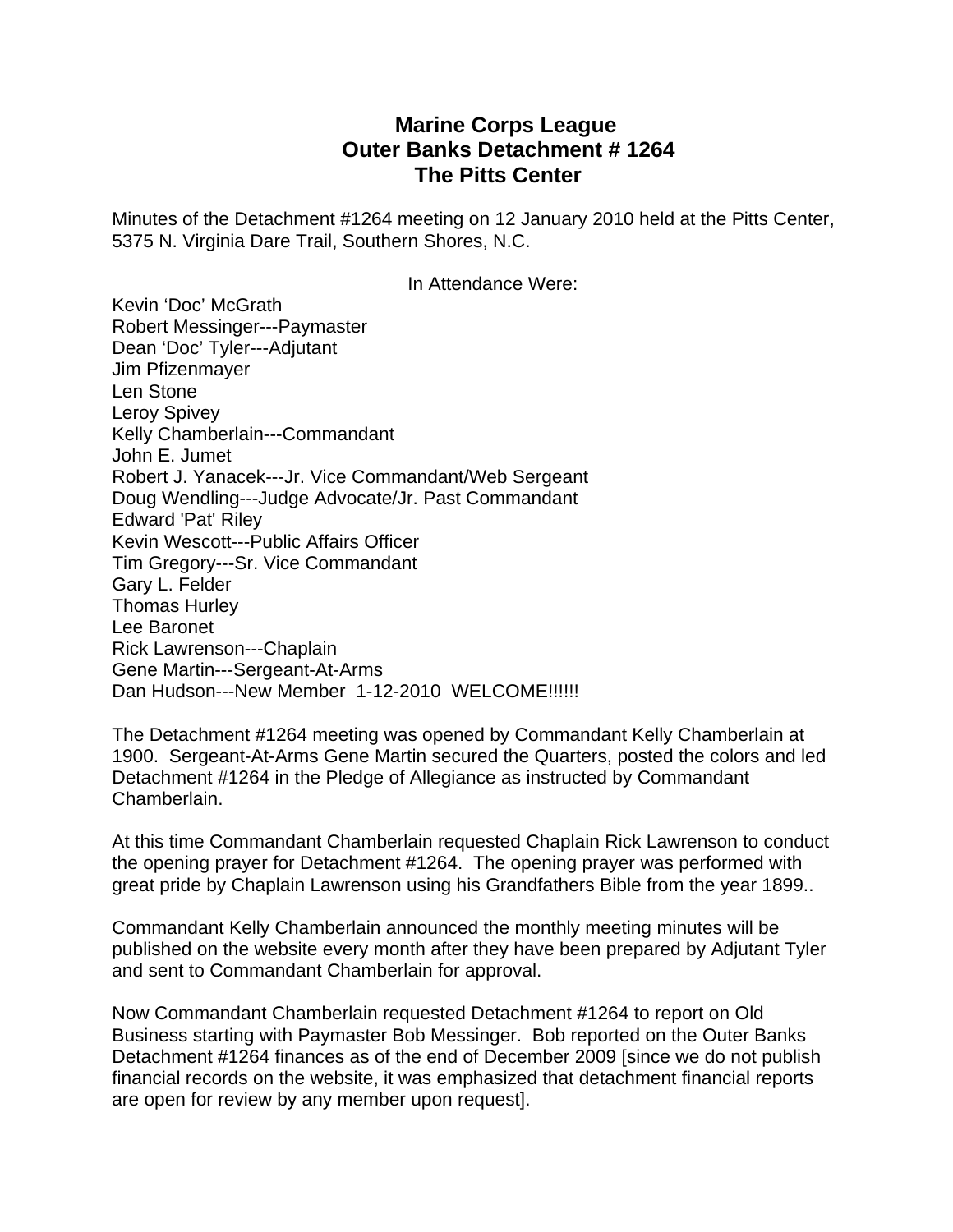## **Marine Corps League Outer Banks Detachment # 1264 The Pitts Center**

Minutes of the Detachment #1264 meeting on 12 January 2010 held at the Pitts Center, 5375 N. Virginia Dare Trail, Southern Shores, N.C.

In Attendance Were:

Kevin 'Doc' McGrath Robert Messinger---Paymaster Dean 'Doc' Tyler---Adjutant Jim Pfizenmayer Len Stone Leroy Spivey Kelly Chamberlain---Commandant John E. Jumet Robert J. Yanacek---Jr. Vice Commandant/Web Sergeant Doug Wendling---Judge Advocate/Jr. Past Commandant Edward 'Pat' Riley Kevin Wescott---Public Affairs Officer Tim Gregory---Sr. Vice Commandant Gary L. Felder Thomas Hurley Lee Baronet Rick Lawrenson---Chaplain Gene Martin---Sergeant-At-Arms Dan Hudson---New Member 1-12-2010 WELCOME!!!!!!

The Detachment #1264 meeting was opened by Commandant Kelly Chamberlain at 1900. Sergeant-At-Arms Gene Martin secured the Quarters, posted the colors and led Detachment #1264 in the Pledge of Allegiance as instructed by Commandant Chamberlain.

At this time Commandant Chamberlain requested Chaplain Rick Lawrenson to conduct the opening prayer for Detachment #1264. The opening prayer was performed with great pride by Chaplain Lawrenson using his Grandfathers Bible from the year 1899..

Commandant Kelly Chamberlain announced the monthly meeting minutes will be published on the website every month after they have been prepared by Adjutant Tyler and sent to Commandant Chamberlain for approval.

Now Commandant Chamberlain requested Detachment #1264 to report on Old Business starting with Paymaster Bob Messinger. Bob reported on the Outer Banks Detachment #1264 finances as of the end of December 2009 [since we do not publish financial records on the website, it was emphasized that detachment financial reports are open for review by any member upon request].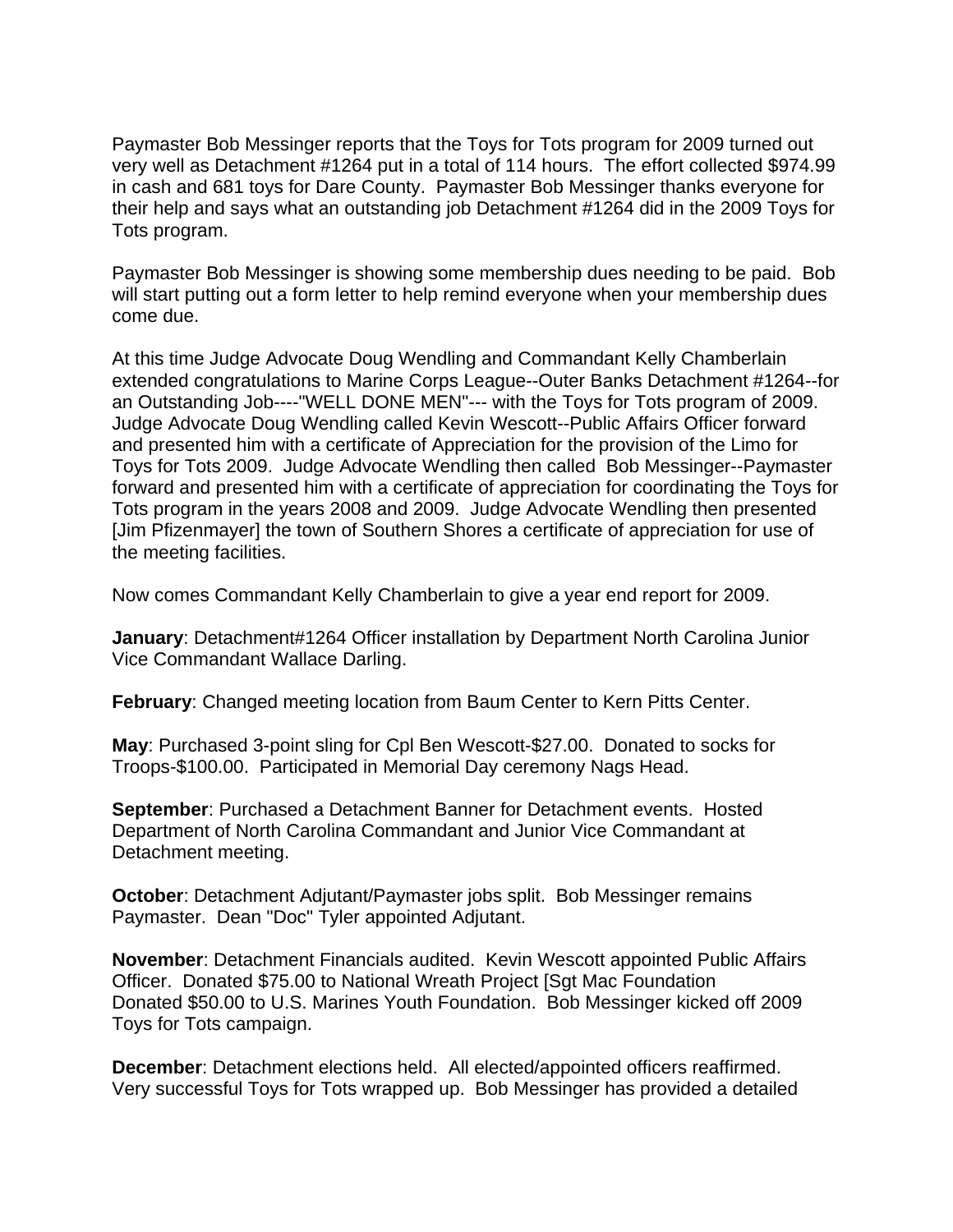Paymaster Bob Messinger reports that the Toys for Tots program for 2009 turned out very well as Detachment #1264 put in a total of 114 hours. The effort collected \$974.99 in cash and 681 toys for Dare County. Paymaster Bob Messinger thanks everyone for their help and says what an outstanding job Detachment #1264 did in the 2009 Toys for Tots program.

Paymaster Bob Messinger is showing some membership dues needing to be paid. Bob will start putting out a form letter to help remind everyone when your membership dues come due.

At this time Judge Advocate Doug Wendling and Commandant Kelly Chamberlain extended congratulations to Marine Corps League--Outer Banks Detachment #1264--for an Outstanding Job----"WELL DONE MEN"--- with the Toys for Tots program of 2009. Judge Advocate Doug Wendling called Kevin Wescott--Public Affairs Officer forward and presented him with a certificate of Appreciation for the provision of the Limo for Toys for Tots 2009. Judge Advocate Wendling then called Bob Messinger--Paymaster forward and presented him with a certificate of appreciation for coordinating the Toys for Tots program in the years 2008 and 2009. Judge Advocate Wendling then presented [Jim Pfizenmayer] the town of Southern Shores a certificate of appreciation for use of the meeting facilities.

Now comes Commandant Kelly Chamberlain to give a year end report for 2009.

**January**: Detachment#1264 Officer installation by Department North Carolina Junior Vice Commandant Wallace Darling.

**February:** Changed meeting location from Baum Center to Kern Pitts Center.

**May**: Purchased 3-point sling for Cpl Ben Wescott-\$27.00. Donated to socks for Troops-\$100.00. Participated in Memorial Day ceremony Nags Head.

**September**: Purchased a Detachment Banner for Detachment events. Hosted Department of North Carolina Commandant and Junior Vice Commandant at Detachment meeting.

**October**: Detachment Adjutant/Paymaster jobs split. Bob Messinger remains Paymaster. Dean "Doc" Tyler appointed Adjutant.

**November**: Detachment Financials audited. Kevin Wescott appointed Public Affairs Officer. Donated \$75.00 to National Wreath Project [Sgt Mac Foundation Donated \$50.00 to U.S. Marines Youth Foundation. Bob Messinger kicked off 2009 Toys for Tots campaign.

**December**: Detachment elections held. All elected/appointed officers reaffirmed. Very successful Toys for Tots wrapped up. Bob Messinger has provided a detailed